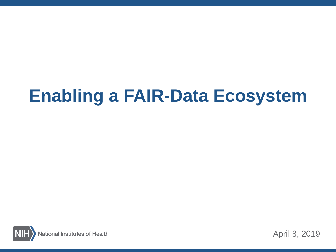# **Enabling a FAIR-Data Ecosystem**



April 8, 2019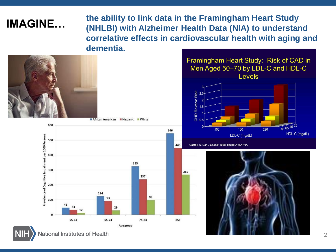**IMAGINE...** the ability to link data in the Framingham Heart Study<br> **IMAGINE...** (NULLER) with Altherman Health Data (NUA) to understar **(NHLBI) with Alzheimer Health Data (NIA) to understand correlative effects in cardiovascular health with aging and dementia.**





#### Framingham Heart Study: Risk of CAD in Men Aged 50-70 by LDL-C and HDL-C Levels



Castelli W. Can J Cardiol. 1988;4(suppl A):5A-10A



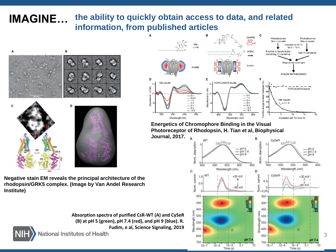#### **IMAGINE… the ability to quickly obtain access to data, and related information, from published articles**



**Negative stain EM reveals the principal architecture of the rhodopsin/GRK5 complex. (Image by Van Andel Research Institute)**





**Energetics of Chromophore Binding in the Visual Photoreceptor of Rhodopsin, H. Tian et al, Biophysical Journal, 2017.** 



3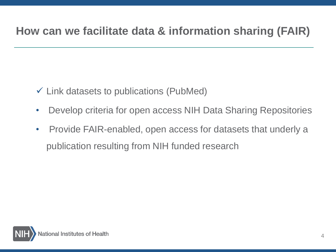# **How can we facilitate data & information sharing (FAIR)**

- $\checkmark$  Link datasets to publications (PubMed)
- Develop criteria for open access NIH Data Sharing Repositories
- Provide FAIR-enabled, open access for datasets that underly a publication resulting from NIH funded research

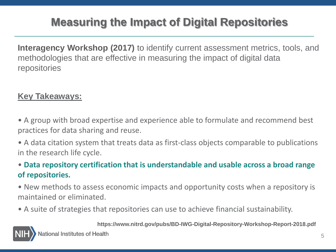# **Measuring the Impact of Digital Repositories**

**Interagency Workshop (2017)** to identify current assessment metrics, tools, and methodologies that are effective in measuring the impact of digital data repositories

### **Key Takeaways:**

• A group with broad expertise and experience able to formulate and recommend best practices for data sharing and reuse.

• A data citation system that treats data as first-class objects comparable to publications in the research life cycle.

### • **Data repository certification that is understandable and usable across a broad range of repositories.**

- New methods to assess economic impacts and opportunity costs when a repository is maintained or eliminated.
- A suite of strategies that repositories can use to achieve financial sustainability.

**https://www.nitrd.gov/pubs/BD-IWG-Digital-Repository-Workshop-Report-2018.pdf**

ational Institutes of Health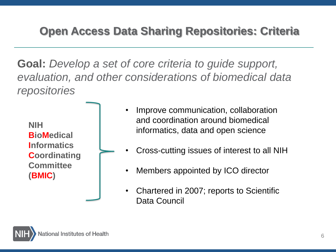# **Open Access Data Sharing Repositories: Criteria**

**Goal:** *Develop a set of core criteria to guide support, evaluation, and other considerations of biomedical data repositories*

**NIH BioMedical Informatics Coordinating Committee (BMIC)**

- Improve communication, collaboration and coordination around biomedical informatics, data and open science
- Cross-cutting issues of interest to all NIH
- Members appointed by ICO director
- Chartered in 2007; reports to Scientific Data Council

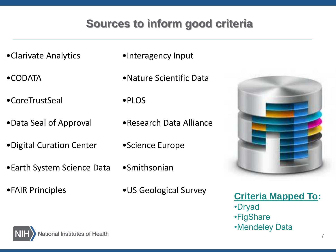# **Sources to inform good criteria**

- •Clarivate Analytics
- •CODATA
- •CoreTrustSeal
- •Data Seal of Approval
- •Digital Curation Center
- •Earth System Science Data
- •FAIR Principles
- •Interagency Input
- •Nature Scientific Data
- •PLOS
- •Research Data Alliance
- •Science Europe
- •Smithsonian
	-



•US Geological Survey **Criteria Mapped To:** •Dryad •FigShare •Mendeley Data

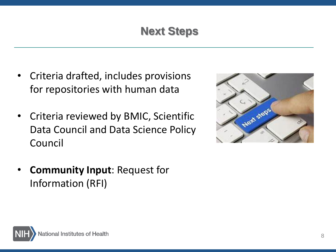# **Next Steps**

- Criteria drafted, includes provisions for repositories with human data
- Criteria reviewed by BMIC, Scientific Data Council and Data Science Policy Council
- **Community Input**: Request for Information (RFI)



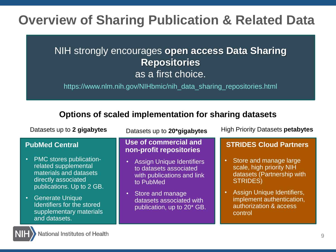# **Overview of Sharing Publication & Related Data**

## NIH strongly encourages **open access Data Sharing Repositories**  as a first choice.

https://www.nlm.nih.gov/NIHbmic/nih\_data\_sharing\_repositories.html

#### **Options of scaled implementation for sharing datasets**

| Datasets up to 2 gigabytes                                                                                                                                                                                                               | Datasets up to 20*gigabytes                                                                                                                                                                     | <b>High Priority Datasets petabytes</b>                                                                                                                                                             |
|------------------------------------------------------------------------------------------------------------------------------------------------------------------------------------------------------------------------------------------|-------------------------------------------------------------------------------------------------------------------------------------------------------------------------------------------------|-----------------------------------------------------------------------------------------------------------------------------------------------------------------------------------------------------|
| <b>PubMed Central</b>                                                                                                                                                                                                                    | Use of commercial and<br>non-profit repositories                                                                                                                                                | <b>STRIDES Cloud Partners</b>                                                                                                                                                                       |
| <b>PMC</b> stores publication-<br>related supplemental<br>materials and datasets<br>directly associated<br>publications. Up to 2 GB.<br><b>Generate Unique</b><br>Identifiers for the stored<br>supplementary materials<br>and datasets. | <b>Assign Unique Identifiers</b><br>to datasets associated<br>with publications and link<br>to PubMed<br>Store and manage<br>datasets associated with<br>publication, up to 20 <sup>*</sup> GB. | Store and manage large<br>scale, high priority NIH<br>datasets (Partnership with<br><b>STRIDES)</b><br>Assign Unique Identifiers,<br>implement authentication,<br>authorization & access<br>control |

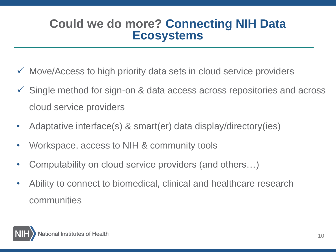# **Could we do more? Connecting NIH Data Ecosystems**

- $\checkmark$  Move/Access to high priority data sets in cloud service providers
- Single method for sign-on & data access across repositories and across cloud service providers
- Adaptative interface(s) & smart(er) data display/directory(ies)
- Workspace, access to NIH & community tools
- Computability on cloud service providers (and others…)
- Ability to connect to biomedical, clinical and healthcare research communities

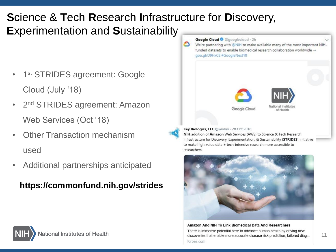# **S**cience & **T**ech **R**esearch **I**nfrastructure for **D**iscovery, **E**xperimentation and **S**ustainability

- 1<sup>st</sup> STRIDES agreement: Google Cloud (July '18)
- 2<sup>nd</sup> STRIDES agreement: Amazon Web Services (Oct '18)
- Other Transaction mechanism used
- Additional partnerships anticipated

**https://commonfund.nih.gov/strides**



NIH addition of Amazon Web Services (AWS) to Science & Tech Research Infrastructure for Discovery, Experimentation, & Sustainability (STRIDES) Initiative to make high-value data + tech-intensive research more accessible to researchers.



Amazon And NIH To Link Biomedical Data And Researchers There is immense potential here to advance human health by driving new discoveries that enable more accurate disease risk prediction, tailored diag... forbes.com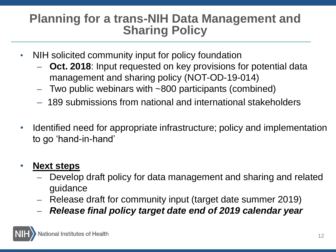# **Planning for a trans-NIH Data Management and Sharing Policy**

- NIH solicited community input for policy foundation
	- **Oct. 2018**: Input requested on key provisions for potential data management and sharing policy (NOT-OD-19-014)
	- Two public webinars with ~800 participants (combined)
	- 189 submissions from national and international stakeholders
- Identified need for appropriate infrastructure; policy and implementation to go 'hand-in-hand'

## • **Next steps**

- Develop draft policy for data management and sharing and related guidance
- Release draft for community input (target date summer 2019)
- *Release final policy target date end of 2019 calendar year*

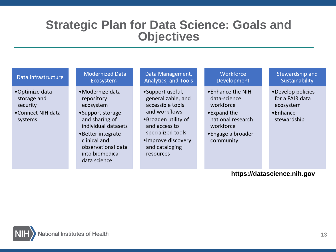# **Strategic Plan for Data Science: Goals and Objectives**

#### Data Infrastructure

- •Optimize data storage and security
- •Connect NIH data systems

#### Modernized Data Ecosystem

- •Modernize data repository ecosystem
- •Support storage and sharing of individual datasets
- Better integrate clinical and observational data into biomedical data science

#### Data Management, Analytics, and Tools

- •Support useful, generalizable, and accessible tools and workflows
- •Broaden utility of and access to specialized tools
- •Improve discovery and cataloging resources

#### **Workforce** Development

- •Enhance the NIH data-science workforce
- •Expand the national research workforce
- Engage a broader community

#### Stewardship and **Sustainability**

- Develop policies for a FAIR data ecosystem
- •Enhance stewardship

#### **https://datascience.nih.gov**

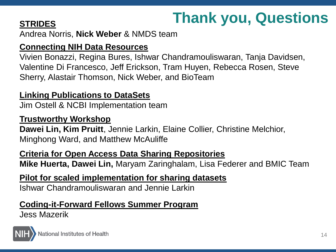# **STRIDES Thank you, Questions**

Andrea Norris, **Nick Weber** & NMDS team

### **Connecting NIH Data Resources**

Vivien Bonazzi, Regina Bures, Ishwar Chandramouliswaran, Tanja Davidsen, Valentine Di Francesco, Jeff Erickson, Tram Huyen, Rebecca Rosen, Steve Sherry, Alastair Thomson, Nick Weber, and BioTeam

### **Linking Publications to DataSets**

Jim Ostell & NCBI Implementation team

### **Trustworthy Workshop**

**Dawei Lin, Kim Pruitt**, Jennie Larkin, Elaine Collier, Christine Melchior, Minghong Ward, and Matthew McAuliffe

### **Criteria for Open Access Data Sharing Repositories**

**Mike Huerta, Dawei Lin,** Maryam Zaringhalam, Lisa Federer and BMIC Team

### **Pilot for scaled implementation for sharing datasets**

Ishwar Chandramouliswaran and Jennie Larkin

### **Coding-it-Forward Fellows Summer Program**

Jess Mazerik